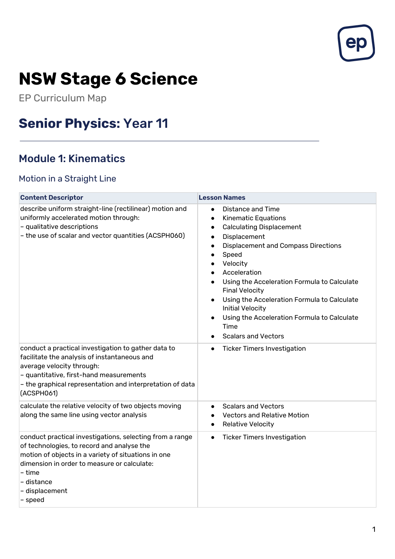

# **NSW Stage 6 Science**

EP Curriculum Map

## **Senior Physics:** Year 11

## Module 1: Kinematics

#### Motion in a Straight Line

| <b>Content Descriptor</b>                                                                                                                                                                                                                                         | <b>Lesson Names</b>                                                                                                                                                                                                                                                                                                                                                                                                                                                                           |
|-------------------------------------------------------------------------------------------------------------------------------------------------------------------------------------------------------------------------------------------------------------------|-----------------------------------------------------------------------------------------------------------------------------------------------------------------------------------------------------------------------------------------------------------------------------------------------------------------------------------------------------------------------------------------------------------------------------------------------------------------------------------------------|
| describe uniform straight-line (rectilinear) motion and<br>uniformly accelerated motion through:<br>- qualitative descriptions<br>- the use of scalar and vector quantities (ACSPH060)                                                                            | <b>Distance and Time</b><br>$\bullet$<br><b>Kinematic Equations</b><br>$\bullet$<br><b>Calculating Displacement</b><br>$\bullet$<br>Displacement<br>$\bullet$<br><b>Displacement and Compass Directions</b><br>Speed<br>$\bullet$<br>Velocity<br>Acceleration<br>Using the Acceleration Formula to Calculate<br><b>Final Velocity</b><br>Using the Acceleration Formula to Calculate<br>Initial Velocity<br>Using the Acceleration Formula to Calculate<br>Time<br><b>Scalars and Vectors</b> |
| conduct a practical investigation to gather data to<br>facilitate the analysis of instantaneous and<br>average velocity through:<br>- quantitative, first-hand measurements<br>- the graphical representation and interpretation of data<br>(ACSPH061)            | <b>Ticker Timers Investigation</b><br>$\bullet$                                                                                                                                                                                                                                                                                                                                                                                                                                               |
| calculate the relative velocity of two objects moving<br>along the same line using vector analysis                                                                                                                                                                | <b>Scalars and Vectors</b><br><b>Vectors and Relative Motion</b><br>Relative Velocity                                                                                                                                                                                                                                                                                                                                                                                                         |
| conduct practical investigations, selecting from a range<br>of technologies, to record and analyse the<br>motion of objects in a variety of situations in one<br>dimension in order to measure or calculate:<br>– time<br>- distance<br>- displacement<br>- speed | <b>Ticker Timers Investigation</b><br>$\bullet$                                                                                                                                                                                                                                                                                                                                                                                                                                               |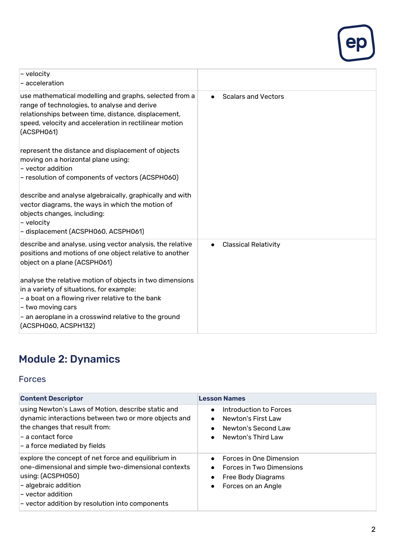

| - velocity<br>- acceleration                                                                                                                                                                                                                                      |                                          |
|-------------------------------------------------------------------------------------------------------------------------------------------------------------------------------------------------------------------------------------------------------------------|------------------------------------------|
| use mathematical modelling and graphs, selected from a<br>range of technologies, to analyse and derive<br>relationships between time, distance, displacement,<br>speed, velocity and acceleration in rectilinear motion<br>(ACSPH061)                             | <b>Scalars and Vectors</b><br>$\bullet$  |
| represent the distance and displacement of objects<br>moving on a horizontal plane using:<br>$\mathord{\hspace{1pt}\text{--}\hspace{1pt}}$ - vector addition<br>- resolution of components of vectors (ACSPH060)                                                  |                                          |
| describe and analyse algebraically, graphically and with<br>vector diagrams, the ways in which the motion of<br>objects changes, including:<br>- velocity<br>- displacement (ACSPH060, ACSPH061)                                                                  |                                          |
| describe and analyse, using vector analysis, the relative<br>positions and motions of one object relative to another<br>object on a plane (ACSPH061)                                                                                                              | <b>Classical Relativity</b><br>$\bullet$ |
| analyse the relative motion of objects in two dimensions<br>in a variety of situations, for example:<br>$-$ a boat on a flowing river relative to the bank<br>$-$ two moving cars<br>- an aeroplane in a crosswind relative to the ground<br>(ACSPH060, ACSPH132) |                                          |

## Module 2: Dynamics

#### Forces

| <b>Content Descriptor</b>                                                                                                                                                                                                       | <b>Lesson Names</b>                                                                                                                                 |
|---------------------------------------------------------------------------------------------------------------------------------------------------------------------------------------------------------------------------------|-----------------------------------------------------------------------------------------------------------------------------------------------------|
| using Newton's Laws of Motion, describe static and<br>dynamic interactions between two or more objects and<br>the changes that result from:<br>- a contact force<br>- a force mediated by fields                                | Introduction to Forces<br>$\bullet$<br>Newton's First Law<br>Newton's Second Law<br>$\bullet$<br>Newton's Third Law<br>$\bullet$                    |
| explore the concept of net force and equilibrium in<br>one-dimensional and simple two-dimensional contexts<br>using: (ACSPH050)<br>- algebraic addition<br>- vector addition<br>- vector addition by resolution into components | Forces in One Dimension<br>$\bullet$<br>Forces in Two Dimensions<br>$\bullet$<br>Free Body Diagrams<br>$\bullet$<br>Forces on an Angle<br>$\bullet$ |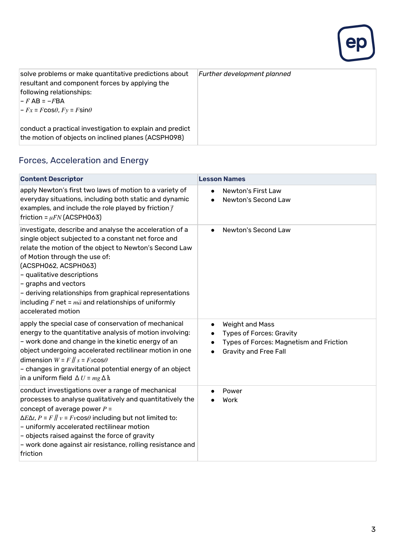

| solve problems or make quantitative predictions about<br>resultant and component forces by applying the<br>following relationships:<br>$ -F$ AB = $-F$ BA<br>$ -Fx = F \cos\theta, Fy = F \sin\theta$ | Further development planned |
|-------------------------------------------------------------------------------------------------------------------------------------------------------------------------------------------------------|-----------------------------|
| conduct a practical investigation to explain and predict<br>the motion of objects on inclined planes (ACSPH098)                                                                                       |                             |

## Forces, Acceleration and Energy

| <b>Content Descriptor</b>                                                                                                                                                                                                                                                                                                                                                                                                                       | <b>Lesson Names</b>                                                                                                                                                  |
|-------------------------------------------------------------------------------------------------------------------------------------------------------------------------------------------------------------------------------------------------------------------------------------------------------------------------------------------------------------------------------------------------------------------------------------------------|----------------------------------------------------------------------------------------------------------------------------------------------------------------------|
| apply Newton's first two laws of motion to a variety of<br>everyday situations, including both static and dynamic<br>examples, and include the role played by friction $\bar{f}$<br>friction = $\mu$ <i>FN</i> (ACSPH063)                                                                                                                                                                                                                       | Newton's First Law<br>$\bullet$<br>Newton's Second Law                                                                                                               |
| investigate, describe and analyse the acceleration of a<br>single object subjected to a constant net force and<br>relate the motion of the object to Newton's Second Law<br>of Motion through the use of:<br>(ACSPH062, ACSPH063)<br>- qualitative descriptions<br>- graphs and vectors<br>- deriving relationships from graphical representations<br>including $\vec{F}$ net = $m\vec{a}$ and relationships of uniformly<br>accelerated motion | Newton's Second Law                                                                                                                                                  |
| apply the special case of conservation of mechanical<br>energy to the quantitative analysis of motion involving:<br>- work done and change in the kinetic energy of an<br>object undergoing accelerated rectilinear motion in one<br>dimension $W = F \parallel s = Fs \cos \theta$<br>- changes in gravitational potential energy of an object<br>in a uniform field $\Delta U = mg \Delta h$                                                  | Weight and Mass<br>$\bullet$<br><b>Types of Forces: Gravity</b><br>Types of Forces: Magnetism and Friction<br>$\bullet$<br><b>Gravity and Free Fall</b><br>$\bullet$ |
| conduct investigations over a range of mechanical<br>processes to analyse qualitatively and quantitatively the<br>concept of average power $P =$<br>$\Delta E \Delta t$ , $P = F \parallel v = Fv \cos \theta$ including but not limited to:<br>- uniformly accelerated rectilinear motion<br>- objects raised against the force of gravity<br>- work done against air resistance, rolling resistance and<br>friction                           | Power<br>Work                                                                                                                                                        |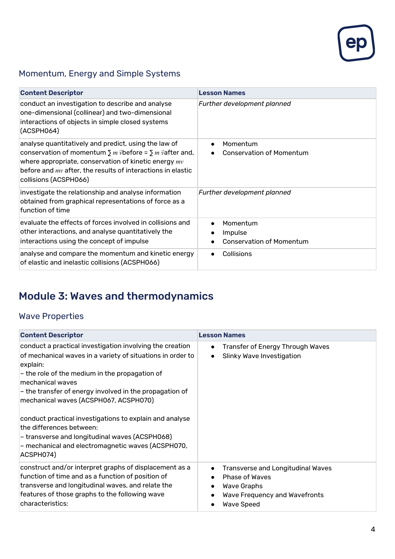

## Momentum, Energy and Simple Systems

| <b>Content Descriptor</b>                                                                                                                                                                                                                                                                  | <b>Lesson Names</b>                                                 |
|--------------------------------------------------------------------------------------------------------------------------------------------------------------------------------------------------------------------------------------------------------------------------------------------|---------------------------------------------------------------------|
| conduct an investigation to describe and analyse<br>one-dimensional (collinear) and two-dimensional<br>interactions of objects in simple closed systems<br>(ACSPH064)                                                                                                                      | Further development planned                                         |
| analyse quantitatively and predict, using the law of<br>conservation of momentum $\sum m \vec{v}$ before = $\sum m \vec{v}$ after and,<br>where appropriate, conservation of kinetic energy $mv$<br>before and $mv$ after, the results of interactions in elastic<br>collisions (ACSPH066) | Momentum<br>$\bullet$<br><b>Conservation of Momentum</b>            |
| investigate the relationship and analyse information<br>obtained from graphical representations of force as a<br>function of time                                                                                                                                                          | Further development planned                                         |
| evaluate the effects of forces involved in collisions and<br>other interactions, and analyse quantitatively the<br>interactions using the concept of impulse                                                                                                                               | Momentum<br>$\bullet$<br>Impulse<br><b>Conservation of Momentum</b> |
| analyse and compare the momentum and kinetic energy<br>of elastic and inelastic collisions (ACSPH066)                                                                                                                                                                                      | Collisions                                                          |

## Module 3: Waves and thermodynamics

#### Wave Properties

| <b>Content Descriptor</b>                                                                                                                                                                                                                                                                                                                                                                                                                                                                                               | <b>Lesson Names</b>                                                                                                                                                                        |
|-------------------------------------------------------------------------------------------------------------------------------------------------------------------------------------------------------------------------------------------------------------------------------------------------------------------------------------------------------------------------------------------------------------------------------------------------------------------------------------------------------------------------|--------------------------------------------------------------------------------------------------------------------------------------------------------------------------------------------|
| conduct a practical investigation involving the creation<br>of mechanical waves in a variety of situations in order to<br>explain:<br>- the role of the medium in the propagation of<br>mechanical waves<br>- the transfer of energy involved in the propagation of<br>mechanical waves (ACSPH067, ACSPH070)<br>conduct practical investigations to explain and analyse<br>the differences between:<br>- transverse and longitudinal waves (ACSPH068)<br>- mechanical and electromagnetic waves (ACSPH070,<br>ACSPH074) | Transfer of Energy Through Waves<br>$\bullet$<br>Slinky Wave Investigation<br>$\bullet$                                                                                                    |
| construct and/or interpret graphs of displacement as a<br>function of time and as a function of position of<br>transverse and longitudinal waves, and relate the<br>features of those graphs to the following wave<br>characteristics:                                                                                                                                                                                                                                                                                  | <b>Transverse and Longitudinal Waves</b><br>$\bullet$<br>Phase of Waves<br>$\bullet$<br><b>Wave Graphs</b><br>$\bullet$<br>Wave Frequency and Wavefronts<br>$\bullet$<br><b>Wave Speed</b> |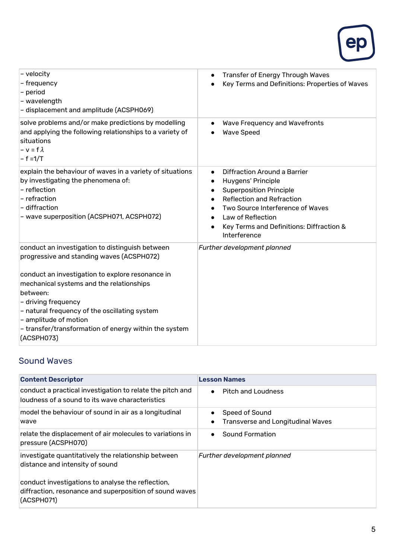

| - velocity<br>- frequency<br>- period<br>- wavelength<br>- displacement and amplitude (ACSPH069)                                                                                                                                                                                                                                                                                 | <b>Transfer of Energy Through Waves</b><br>$\bullet$<br>Key Terms and Definitions: Properties of Waves                                                                                                                                                     |
|----------------------------------------------------------------------------------------------------------------------------------------------------------------------------------------------------------------------------------------------------------------------------------------------------------------------------------------------------------------------------------|------------------------------------------------------------------------------------------------------------------------------------------------------------------------------------------------------------------------------------------------------------|
| solve problems and/or make predictions by modelling<br>and applying the following relationships to a variety of<br>situations<br>$- v = f \lambda$<br>$- f = 1/T$                                                                                                                                                                                                                | Wave Frequency and Wavefronts<br><b>Wave Speed</b>                                                                                                                                                                                                         |
| explain the behaviour of waves in a variety of situations<br>by investigating the phenomena of:<br>- reflection<br>- refraction<br>- diffraction<br>- wave superposition (ACSPH071, ACSPH072)                                                                                                                                                                                    | Diffraction Around a Barrier<br>$\bullet$<br>Huygens' Principle<br><b>Superposition Principle</b><br><b>Reflection and Refraction</b><br>Two Source Interference of Waves<br>Law of Reflection<br>Key Terms and Definitions: Diffraction &<br>Interference |
| conduct an investigation to distinguish between<br>progressive and standing waves (ACSPH072)<br>conduct an investigation to explore resonance in<br>mechanical systems and the relationships<br>between:<br>- driving frequency<br>- natural frequency of the oscillating system<br>- amplitude of motion<br>- transfer/transformation of energy within the system<br>(ACSPH073) | Further development planned                                                                                                                                                                                                                                |

#### Sound Waves

| <b>Content Descriptor</b>                                                                                                  | <b>Lesson Names</b>                      |
|----------------------------------------------------------------------------------------------------------------------------|------------------------------------------|
| conduct a practical investigation to relate the pitch and                                                                  | <b>Pitch and Loudness</b>                |
| loudness of a sound to its wave characteristics                                                                            | $\bullet$                                |
| model the behaviour of sound in air as a longitudinal                                                                      | Speed of Sound                           |
| wave                                                                                                                       | <b>Transverse and Longitudinal Waves</b> |
| relate the displacement of air molecules to variations in                                                                  | Sound Formation                          |
| pressure (ACSPH070)                                                                                                        | $\bullet$                                |
| investigate quantitatively the relationship between<br>distance and intensity of sound                                     | Further development planned              |
| conduct investigations to analyse the reflection,<br>diffraction, resonance and superposition of sound waves<br>(ACSPH071) |                                          |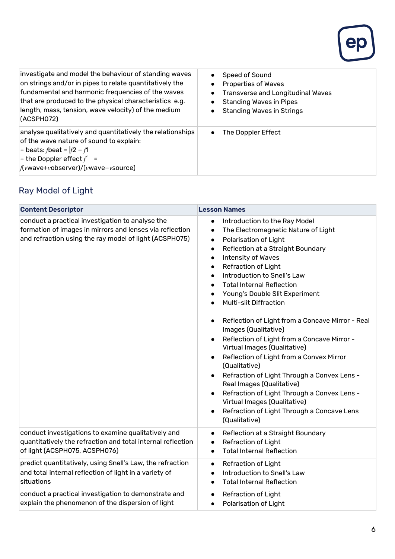

| investigate and model the behaviour of standing waves<br>on strings and/or in pipes to relate quantitatively the<br>fundamental and harmonic frequencies of the waves<br>that are produced to the physical characteristics e.g.<br>length, mass, tension, wave velocity) of the medium<br>(ACSPH072) | Speed of Sound<br><b>Properties of Waves</b><br>Transverse and Longitudinal Waves<br><b>Standing Waves in Pipes</b><br><b>Standing Waves in Strings</b> |
|------------------------------------------------------------------------------------------------------------------------------------------------------------------------------------------------------------------------------------------------------------------------------------------------------|---------------------------------------------------------------------------------------------------------------------------------------------------------|
| analyse qualitatively and quantitatively the relationships<br>of the wave nature of sound to explain:<br> - beats: <i>f</i> beat = $ f2 - f1 $<br>$\vert$ - the Doppler effect $f' =$<br>$f(vwave+vobserver)/(vwave-vource)$                                                                         | The Doppler Effect<br>$\bullet$                                                                                                                         |

## Ray Model of Light

| <b>Content Descriptor</b>                                                                                                                                              | <b>Lesson Names</b>                                                                                                                                                                                                                                                                                                                                                                                                                                                                                                                                                                                                                                                                                                                                                                                                                                                                                       |
|------------------------------------------------------------------------------------------------------------------------------------------------------------------------|-----------------------------------------------------------------------------------------------------------------------------------------------------------------------------------------------------------------------------------------------------------------------------------------------------------------------------------------------------------------------------------------------------------------------------------------------------------------------------------------------------------------------------------------------------------------------------------------------------------------------------------------------------------------------------------------------------------------------------------------------------------------------------------------------------------------------------------------------------------------------------------------------------------|
| conduct a practical investigation to analyse the<br>formation of images in mirrors and lenses via reflection<br>and refraction using the ray model of light (ACSPH075) | Introduction to the Ray Model<br>$\bullet$<br>The Electromagnetic Nature of Light<br>$\bullet$<br>Polarisation of Light<br>$\bullet$<br>Reflection at a Straight Boundary<br>$\bullet$<br>Intensity of Waves<br>$\bullet$<br>Refraction of Light<br>Introduction to Snell's Law<br><b>Total Internal Reflection</b><br>Young's Double Slit Experiment<br><b>Multi-slit Diffraction</b><br>Reflection of Light from a Concave Mirror - Real<br>$\bullet$<br>Images (Qualitative)<br>Reflection of Light from a Concave Mirror -<br>$\bullet$<br>Virtual Images (Qualitative)<br>Reflection of Light from a Convex Mirror<br>(Qualitative)<br>Refraction of Light Through a Convex Lens -<br>$\bullet$<br>Real Images (Qualitative)<br>Refraction of Light Through a Convex Lens -<br>$\bullet$<br>Virtual Images (Qualitative)<br>Refraction of Light Through a Concave Lens<br>$\bullet$<br>(Qualitative) |
| conduct investigations to examine qualitatively and<br>quantitatively the refraction and total internal reflection<br>of light (ACSPH075, ACSPH076)                    | Reflection at a Straight Boundary<br>$\bullet$<br>Refraction of Light<br>$\bullet$<br><b>Total Internal Reflection</b><br>$\bullet$                                                                                                                                                                                                                                                                                                                                                                                                                                                                                                                                                                                                                                                                                                                                                                       |
| predict quantitatively, using Snell's Law, the refraction<br>and total internal reflection of light in a variety of<br>situations                                      | <b>Refraction of Light</b><br>$\bullet$<br>Introduction to Snell's Law<br>$\bullet$<br><b>Total Internal Reflection</b><br>$\bullet$                                                                                                                                                                                                                                                                                                                                                                                                                                                                                                                                                                                                                                                                                                                                                                      |
| conduct a practical investigation to demonstrate and<br>explain the phenomenon of the dispersion of light                                                              | Refraction of Light<br>$\bullet$<br>Polarisation of Light<br>$\bullet$                                                                                                                                                                                                                                                                                                                                                                                                                                                                                                                                                                                                                                                                                                                                                                                                                                    |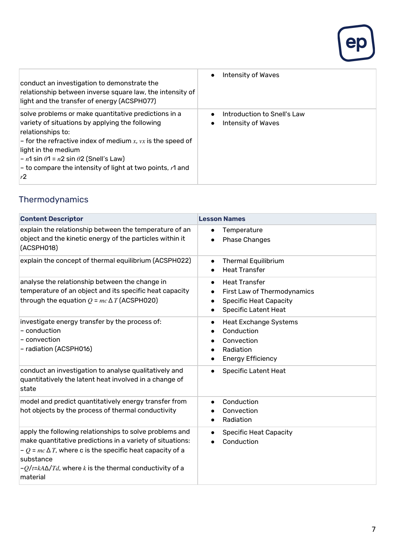

| conduct an investigation to demonstrate the<br>relationship between inverse square law, the intensity of<br>light and the transfer of energy (ACSPH077)                                                                                                                                                                                             | Intensity of Waves<br>$\bullet$                   |
|-----------------------------------------------------------------------------------------------------------------------------------------------------------------------------------------------------------------------------------------------------------------------------------------------------------------------------------------------------|---------------------------------------------------|
| solve problems or make quantitative predictions in a<br>variety of situations by applying the following<br>relationships to:<br>- for the refractive index of medium x, $vx$ is the speed of<br>light in the medium<br>$- n1 \sin \theta 1 = n2 \sin \theta 2$ (Snell's Law)<br>$-$ to compare the intensity of light at two points, $r1$ and<br>r2 | Introduction to Snell's Law<br>Intensity of Waves |

## **Thermodynamics**

| <b>Content Descriptor</b>                                                                                                                                                                                                                                                           | <b>Lesson Names</b>                                                                                                                                |
|-------------------------------------------------------------------------------------------------------------------------------------------------------------------------------------------------------------------------------------------------------------------------------------|----------------------------------------------------------------------------------------------------------------------------------------------------|
| explain the relationship between the temperature of an<br>object and the kinetic energy of the particles within it<br>(ACSPH018)                                                                                                                                                    | Temperature<br><b>Phase Changes</b>                                                                                                                |
| explain the concept of thermal equilibrium (ACSPH022)                                                                                                                                                                                                                               | <b>Thermal Equilibrium</b><br>$\bullet$<br><b>Heat Transfer</b>                                                                                    |
| analyse the relationship between the change in<br>temperature of an object and its specific heat capacity<br>through the equation $Q = mc \Delta T$ (ACSPH020)                                                                                                                      | <b>Heat Transfer</b><br>$\bullet$<br>First Law of Thermodynamics<br><b>Specific Heat Capacity</b><br>$\bullet$<br><b>Specific Latent Heat</b><br>٠ |
| investigate energy transfer by the process of:<br>- conduction<br>$-$ convection<br>- radiation (ACSPH016)                                                                                                                                                                          | <b>Heat Exchange Systems</b><br>$\bullet$<br>Conduction<br>Convection<br>Radiation<br><b>Energy Efficiency</b>                                     |
| conduct an investigation to analyse qualitatively and<br>quantitatively the latent heat involved in a change of<br>state                                                                                                                                                            | <b>Specific Latent Heat</b>                                                                                                                        |
| model and predict quantitatively energy transfer from<br>hot objects by the process of thermal conductivity                                                                                                                                                                         | Conduction<br>$\bullet$<br>Convection<br>Radiation                                                                                                 |
| apply the following relationships to solve problems and<br>make quantitative predictions in a variety of situations:<br>$-Q = mc \Delta T$ , where c is the specific heat capacity of a<br>substance<br>$-Q/t = kA\Delta/Td$ , where k is the thermal conductivity of a<br>material | <b>Specific Heat Capacity</b><br>$\bullet$<br>Conduction                                                                                           |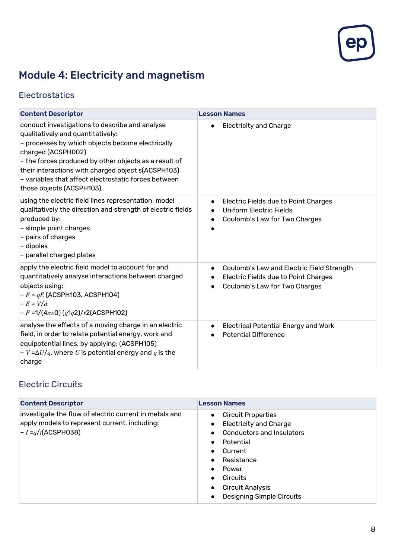

## Module 4: Electricity and magnetism

#### **Electrostatics**

| <b>Content Descriptor</b>                                                                                                                                                                                                                                                                                                                                        | <b>Lesson Names</b>                                                                                                                  |
|------------------------------------------------------------------------------------------------------------------------------------------------------------------------------------------------------------------------------------------------------------------------------------------------------------------------------------------------------------------|--------------------------------------------------------------------------------------------------------------------------------------|
| conduct investigations to describe and analyse<br>qualitatively and quantitatively:<br>- processes by which objects become electrically<br>charged (ACSPH002)<br>- the forces produced by other objects as a result of<br>their interactions with charged object s(ACSPH103)<br>- variables that affect electrostatic forces between<br>those objects (ACSPH103) | <b>Electricity and Charge</b><br>$\bullet$                                                                                           |
| using the electric field lines representation, model<br>qualitatively the direction and strength of electric fields<br>produced by:<br>- simple point charges<br>- pairs of charges<br>- dipoles<br>- parallel charged plates                                                                                                                                    | Electric Fields due to Point Charges<br>$\bullet$<br><b>Uniform Electric Fields</b><br>Coulomb's Law for Two Charges                 |
| apply the electric field model to account for and<br>quantitatively analyse interactions between charged<br>objects using:<br>$-F = qE$ (ACSPH103, ACSPH104)<br>$-E = V/d$<br>$-F = 1/(4\pi\epsilon_0) (q \cdot 1q \cdot 2)/r2(ACSPH102)$                                                                                                                        | Coulomb's Law and Electric Field Strength<br>$\bullet$<br>Electric Fields due to Point Charges<br>٠<br>Coulomb's Law for Two Charges |
| analyse the effects of a moving charge in an electric<br>field, in order to relate potential energy, work and<br>equipotential lines, by applying: (ACSPH105)<br>$-V = \Delta U/q$ , where U is potential energy and q is the<br>charge                                                                                                                          | <b>Electrical Potential Energy and Work</b><br>$\bullet$<br><b>Potential Difference</b>                                              |

#### Electric Circuits

| <b>Content Descriptor</b>                                                                                                         | <b>Lesson Names</b>                                                                                                                                                                                                                                                                                                                                        |
|-----------------------------------------------------------------------------------------------------------------------------------|------------------------------------------------------------------------------------------------------------------------------------------------------------------------------------------------------------------------------------------------------------------------------------------------------------------------------------------------------------|
| investigate the flow of electric current in metals and<br>apply models to represent current, including:<br>$- I = q/t (ACSPH038)$ | <b>Circuit Properties</b><br>$\bullet$<br><b>Electricity and Charge</b><br>$\bullet$<br><b>Conductors and Insulators</b><br>$\bullet$<br>Potential<br>$\bullet$<br>Current<br>$\bullet$<br>Resistance<br>$\bullet$<br>Power<br>$\bullet$<br>Circuits<br>$\bullet$<br><b>Circuit Analysis</b><br>$\bullet$<br><b>Designing Simple Circuits</b><br>$\bullet$ |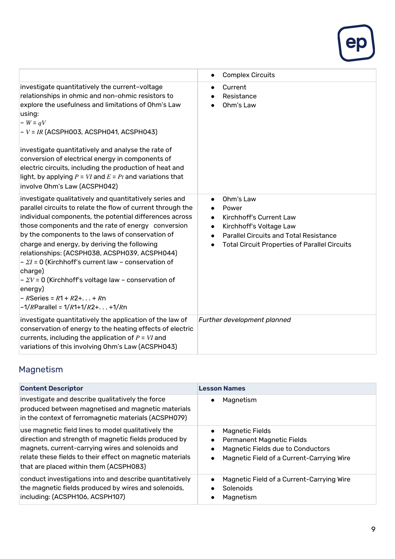

|                                                                                                                                                                                                                                                                                                                                                                                                                                                                                                                                                                                                                                      | <b>Complex Circuits</b><br>$\bullet$                                                                                                                                                                                                                            |
|--------------------------------------------------------------------------------------------------------------------------------------------------------------------------------------------------------------------------------------------------------------------------------------------------------------------------------------------------------------------------------------------------------------------------------------------------------------------------------------------------------------------------------------------------------------------------------------------------------------------------------------|-----------------------------------------------------------------------------------------------------------------------------------------------------------------------------------------------------------------------------------------------------------------|
| investigate quantitatively the current-voltage<br>relationships in ohmic and non-ohmic resistors to<br>explore the usefulness and limitations of Ohm's Law<br>using:<br>$-W = qV$<br>$-V = IR$ (ACSPH003, ACSPH041, ACSPH043)<br>investigate quantitatively and analyse the rate of<br>conversion of electrical energy in components of<br>electric circuits, including the production of heat and<br>light, by applying $P = VI$ and $E = Pt$ and variations that<br>involve Ohm's Law (ACSPH042)                                                                                                                                   | Current<br>$\bullet$<br>Resistance<br>Ohm's Law                                                                                                                                                                                                                 |
| investigate qualitatively and quantitatively series and<br>parallel circuits to relate the flow of current through the<br>individual components, the potential differences across<br>those components and the rate of energy conversion<br>by the components to the laws of conservation of<br>charge and energy, by deriving the following<br>relationships: (ACSPH038, ACSPH039, ACSPH044)<br>$- \Sigma I = 0$ (Kirchhoff's current law - conservation of<br>charge)<br>$\sim \Sigma V$ = 0 (Kirchhoff's voltage law – conservation of<br>energy)<br>$-R$ Series = $R$ 1 + $R$ 2+ + $R$ n<br>$-1/R$ Parallel = $1/R$ 1+1/R2+ +1/Rn | Ohm's Law<br>$\bullet$<br>Power<br>$\bullet$<br>Kirchhoff's Current Law<br>$\bullet$<br>Kirchhoff's Voltage Law<br>$\bullet$<br><b>Parallel Circuits and Total Resistance</b><br>$\bullet$<br><b>Total Circuit Properties of Parallel Circuits</b><br>$\bullet$ |
| investigate quantitatively the application of the law of<br>conservation of energy to the heating effects of electric<br>currents, including the application of $P = VI$ and<br>variations of this involving Ohm's Law (ACSPH043)                                                                                                                                                                                                                                                                                                                                                                                                    | Further development planned                                                                                                                                                                                                                                     |

## Magnetism

| <b>Content Descriptor</b>                                                                                                                                                                                                                                                | <b>Lesson Names</b>                                                                                                                                                    |
|--------------------------------------------------------------------------------------------------------------------------------------------------------------------------------------------------------------------------------------------------------------------------|------------------------------------------------------------------------------------------------------------------------------------------------------------------------|
| investigate and describe qualitatively the force<br>produced between magnetised and magnetic materials<br>in the context of ferromagnetic materials (ACSPH079)                                                                                                           | Magnetism<br>$\bullet$                                                                                                                                                 |
| use magnetic field lines to model qualitatively the<br>direction and strength of magnetic fields produced by<br>magnets, current-carrying wires and solenoids and<br>relate these fields to their effect on magnetic materials<br>that are placed within them (ACSPH083) | <b>Magnetic Fields</b><br><b>Permanent Magnetic Fields</b><br>$\bullet$<br>Magnetic Fields due to Conductors<br>Magnetic Field of a Current-Carrying Wire<br>$\bullet$ |
| conduct investigations into and describe quantitatively<br>the magnetic fields produced by wires and solenoids,<br>including: (ACSPH106, ACSPH107)                                                                                                                       | Magnetic Field of a Current-Carrying Wire<br>$\bullet$<br>Solenoids<br>Magnetism                                                                                       |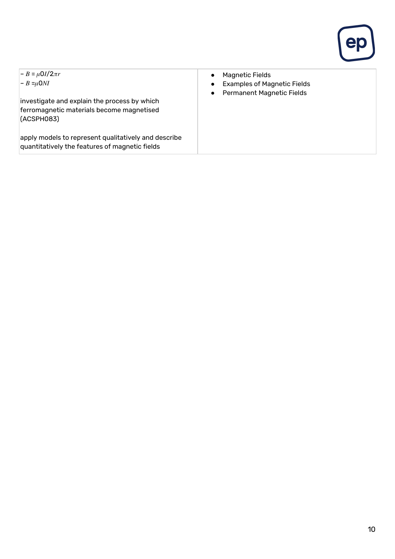

| $ -B = \mu 0 I / 2 \pi r$                            | <b>Magnetic Fields</b>             |
|------------------------------------------------------|------------------------------------|
| $-B = \mu$ ONI                                       | $\bullet$                          |
| investigate and explain the process by which         | <b>Examples of Magnetic Fields</b> |
| ferromagnetic materials become magnetised            | $\bullet$                          |
| (ACSPH083)                                           | <b>Permanent Magnetic Fields</b>   |
| apply models to represent qualitatively and describe | $\bullet$                          |
| quantitatively the features of magnetic fields       |                                    |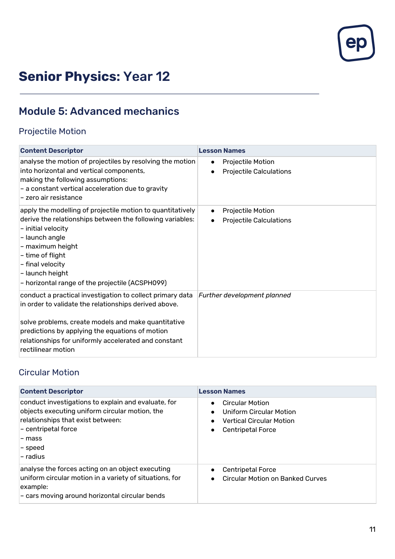

## **Senior Physics:** Year 12

## Module 5: Advanced mechanics

#### Projectile Motion

| <b>Content Descriptor</b>                                                                                                                                                                                                                                                                                  | <b>Lesson Names</b>                                                           |
|------------------------------------------------------------------------------------------------------------------------------------------------------------------------------------------------------------------------------------------------------------------------------------------------------------|-------------------------------------------------------------------------------|
| analyse the motion of projectiles by resolving the motion<br>into horizontal and vertical components,<br>making the following assumptions:<br>- a constant vertical acceleration due to gravity<br>l- zero air resistance                                                                                  | <b>Projectile Motion</b><br>$\bullet$<br><b>Projectile Calculations</b>       |
| apply the modelling of projectile motion to quantitatively<br>derive the relationships between the following variables:<br>- initial velocity<br>- launch angle<br>- maximum height<br>- time of flight<br>- final velocity<br>- launch height<br>- horizontal range of the projectile (ACSPH099)          | Projectile Motion<br>$\bullet$<br><b>Projectile Calculations</b><br>$\bullet$ |
| conduct a practical investigation to collect primary data<br>in order to validate the relationships derived above.<br>solve problems, create models and make quantitative<br>predictions by applying the equations of motion<br>relationships for uniformly accelerated and constant<br>rectilinear motion | Further development planned                                                   |

#### Circular Motion

| <b>Content Descriptor</b>                                                                                                                                                                                               | <b>Lesson Names</b>                                                                                                                                                  |
|-------------------------------------------------------------------------------------------------------------------------------------------------------------------------------------------------------------------------|----------------------------------------------------------------------------------------------------------------------------------------------------------------------|
| conduct investigations to explain and evaluate, for<br>objects executing uniform circular motion, the<br>relationships that exist between:<br> – centripetal force<br>– mass<br>$\mathbin{{\mid}}$ – speed<br>l- radius | <b>Circular Motion</b><br>$\bullet$<br>Uniform Circular Motion<br>$\bullet$<br><b>Vertical Circular Motion</b><br>$\bullet$<br><b>Centripetal Force</b><br>$\bullet$ |
| analyse the forces acting on an object executing<br>uniform circular motion in a variety of situations, for<br>example:<br>- cars moving around horizontal circular bends                                               | <b>Centripetal Force</b><br><b>Circular Motion on Banked Curves</b><br>$\bullet$                                                                                     |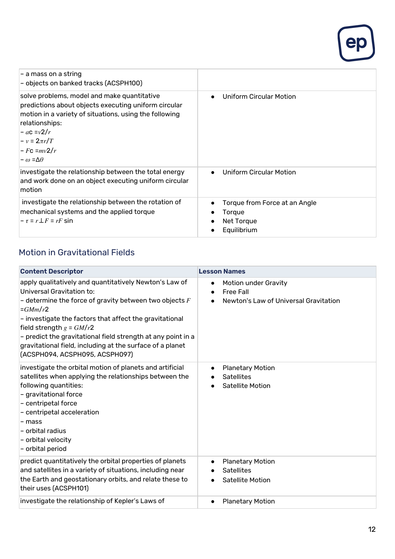

| $-$ a mass on a string<br>- objects on banked tracks (ACSPH100)                                                                                                                                                                                                   |                                                                      |
|-------------------------------------------------------------------------------------------------------------------------------------------------------------------------------------------------------------------------------------------------------------------|----------------------------------------------------------------------|
| solve problems, model and make quantitative<br>predictions about objects executing uniform circular<br>motion in a variety of situations, using the following<br>relationships:<br>$-a c = v^2/r$<br>$-v = 2\pi r/T$<br>$-Fc = mv2/r$<br>$-\omega = \Delta\theta$ | Uniform Circular Motion                                              |
| investigate the relationship between the total energy<br>and work done on an object executing uniform circular<br>motion                                                                                                                                          | Uniform Circular Motion<br>$\bullet$                                 |
| investigate the relationship between the rotation of<br>mechanical systems and the applied torque<br>$- \tau = r \bot F = rF \sin$                                                                                                                                | Torque from Force at an Angle<br>Torque<br>Net Torque<br>Equilibrium |

#### Motion in Gravitational Fields

| <b>Content Descriptor</b>                                                                                                                                                                                                                                                                                                                                                                                                     | <b>Lesson Names</b>                                                                                         |
|-------------------------------------------------------------------------------------------------------------------------------------------------------------------------------------------------------------------------------------------------------------------------------------------------------------------------------------------------------------------------------------------------------------------------------|-------------------------------------------------------------------------------------------------------------|
| apply qualitatively and quantitatively Newton's Law of<br>Universal Gravitation to:<br>- determine the force of gravity between two objects $F$<br>$=\frac{GMm}{r^2}$<br>- investigate the factors that affect the gravitational<br>field strength $g = GM/r2$<br>- predict the gravitational field strength at any point in a<br>gravitational field, including at the surface of a planet<br>(ACSPH094, ACSPH095, ACSPH097) | Motion under Gravity<br>$\bullet$<br><b>Free Fall</b><br>$\bullet$<br>Newton's Law of Universal Gravitation |
| investigate the orbital motion of planets and artificial<br>satellites when applying the relationships between the<br>following quantities:<br>- gravitational force<br>- centripetal force<br>- centripetal acceleration<br>- mass<br>- orbital radius<br>- orbital velocity<br>- orbital period                                                                                                                             | <b>Planetary Motion</b><br>$\bullet$<br><b>Satellites</b><br>$\bullet$<br><b>Satellite Motion</b>           |
| predict quantitatively the orbital properties of planets<br>and satellites in a variety of situations, including near<br>the Earth and geostationary orbits, and relate these to<br>their uses (ACSPH101)                                                                                                                                                                                                                     | <b>Planetary Motion</b><br>$\bullet$<br><b>Satellites</b><br><b>Satellite Motion</b>                        |
| investigate the relationship of Kepler's Laws of                                                                                                                                                                                                                                                                                                                                                                              | <b>Planetary Motion</b><br>$\bullet$                                                                        |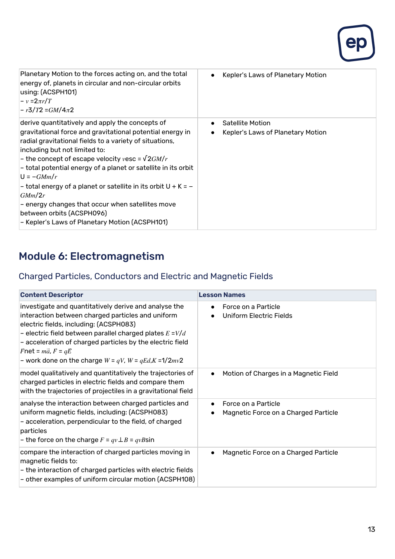

| Planetary Motion to the forces acting on, and the total<br>energy of, planets in circular and non-circular orbits<br>using: (ACSPH101)<br>$-v = 2\pi r/T$<br>$ -r3/T2 = GM/4\pi2$                                                                                                                                                                                                                                                                                                                                                                                                                  | Kepler's Laws of Planetary Motion<br>$\bullet$                                         |
|----------------------------------------------------------------------------------------------------------------------------------------------------------------------------------------------------------------------------------------------------------------------------------------------------------------------------------------------------------------------------------------------------------------------------------------------------------------------------------------------------------------------------------------------------------------------------------------------------|----------------------------------------------------------------------------------------|
| derive quantitatively and apply the concepts of<br>gravitational force and gravitational potential energy in<br>radial gravitational fields to a variety of situations,<br>including but not limited to:<br>- the concept of escape velocity vesc = $\sqrt{2GM/r}$<br>$\mathsf{\sim}\mathsf{\sim}$ - total potential energy of a planet or satellite in its orbit<br>$U = -GMm/r$<br>- total energy of a planet or satellite in its orbit $U + K = -$<br>GMm/2r<br>- energy changes that occur when satellites move<br>between orbits (ACSPH096)<br>- Kepler's Laws of Planetary Motion (ACSPH101) | <b>Satellite Motion</b><br>$\bullet$<br>Kepler's Laws of Planetary Motion<br>$\bullet$ |

## Module 6: Electromagnetism

#### Charged Particles, Conductors and Electric and Magnetic Fields

| <b>Content Descriptor</b>                                                                                                                                                                                                                                                                                                                                                               | <b>Lesson Names</b>                                         |
|-----------------------------------------------------------------------------------------------------------------------------------------------------------------------------------------------------------------------------------------------------------------------------------------------------------------------------------------------------------------------------------------|-------------------------------------------------------------|
| investigate and quantitatively derive and analyse the<br>interaction between charged particles and uniform<br>electric fields, including: (ACSPH083)<br>- electric field between parallel charged plates $E = V/d$<br>- acceleration of charged particles by the electric field<br>Fnet = $m\vec{a}$ , F = $q\vec{E}$<br>- work done on the charge $W = qV$ , $W = qEd$ , $K = 1/2mv^2$ | Force on a Particle<br>$\bullet$<br>Uniform Electric Fields |
| model qualitatively and quantitatively the trajectories of<br>charged particles in electric fields and compare them<br>with the trajectories of projectiles in a gravitational field                                                                                                                                                                                                    | Motion of Charges in a Magnetic Field<br>$\bullet$          |
| analyse the interaction between charged particles and<br>uniform magnetic fields, including: (ACSPH083)<br>- acceleration, perpendicular to the field, of charged<br>particles<br>- the force on the charge $F = qv \perp B = qvB\sin$                                                                                                                                                  | Force on a Particle<br>Magnetic Force on a Charged Particle |
| compare the interaction of charged particles moving in<br>magnetic fields to:<br>- the interaction of charged particles with electric fields<br>- other examples of uniform circular motion (ACSPH108)                                                                                                                                                                                  | Magnetic Force on a Charged Particle<br>$\bullet$           |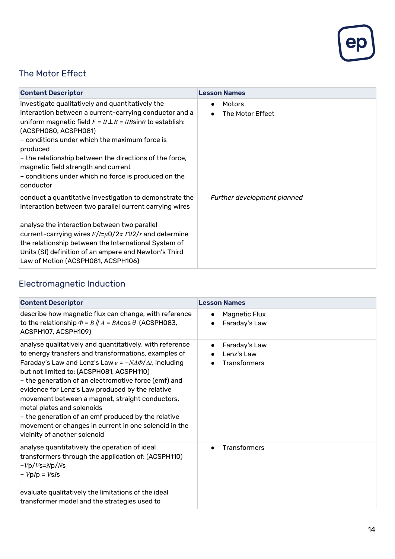

#### The Motor Effect

| <b>Content Descriptor</b>                                                                                                                                                                                                                                                                                                                                                                                                                       | <b>Lesson Names</b>                     |
|-------------------------------------------------------------------------------------------------------------------------------------------------------------------------------------------------------------------------------------------------------------------------------------------------------------------------------------------------------------------------------------------------------------------------------------------------|-----------------------------------------|
| investigate qualitatively and quantitatively the<br>interaction between a current-carrying conductor and a<br>uniform magnetic field $F = lI \perp B = lIB\sin\theta$ to establish:<br>(ACSPH080, ACSPH081)<br>- conditions under which the maximum force is<br>produced<br>- the relationship between the directions of the force,<br>magnetic field strength and current<br>- conditions under which no force is produced on the<br>conductor | Motors<br>$\bullet$<br>The Motor Effect |
| conduct a quantitative investigation to demonstrate the<br>interaction between two parallel current carrying wires<br>analyse the interaction between two parallel<br>current-carrying wires $F/l = \mu 0/2\pi I/12/r$ and determine<br>the relationship between the International System of<br>Units (SI) definition of an ampere and Newton's Third<br>Law of Motion (ACSPH081, ACSPH106)                                                     | Further development planned             |

## Electromagnetic Induction

| <b>Content Descriptor</b>                                                                                                                                                                                                                                                                                                                                                                                                                                                                                                                                                                   | <b>Lesson Names</b>                                             |
|---------------------------------------------------------------------------------------------------------------------------------------------------------------------------------------------------------------------------------------------------------------------------------------------------------------------------------------------------------------------------------------------------------------------------------------------------------------------------------------------------------------------------------------------------------------------------------------------|-----------------------------------------------------------------|
| describe how magnetic flux can change, with reference<br>to the relationship $\Phi = B \parallel A = BA \cos \theta$ (ACSPH083,<br>ACSPH107, ACSPH109)                                                                                                                                                                                                                                                                                                                                                                                                                                      | Magnetic Flux<br>$\bullet$<br>Faraday's Law<br>$\bullet$        |
| analyse qualitatively and quantitatively, with reference<br>to energy transfers and transformations, examples of<br>Faraday's Law and Lenz's Law $\varepsilon = -N\Delta\Phi/\Delta t$ , including<br>but not limited to: (ACSPH081, ACSPH110)<br>- the generation of an electromotive force (emf) and<br>evidence for Lenz's Law produced by the relative<br>movement between a magnet, straight conductors,<br>metal plates and solenoids<br>- the generation of an emf produced by the relative<br>movement or changes in current in one solenoid in the<br>vicinity of another solenoid | Faraday's Law<br>$\bullet$<br>Lenz's Law<br><b>Transformers</b> |
| analyse quantitatively the operation of ideal<br>transformers through the application of: (ACSPH110)<br>$-Vp/Vs=Np/Ns$<br>$-VpIp = VsIs$<br>evaluate qualitatively the limitations of the ideal<br>transformer model and the strategies used to                                                                                                                                                                                                                                                                                                                                             | <b>Transformers</b>                                             |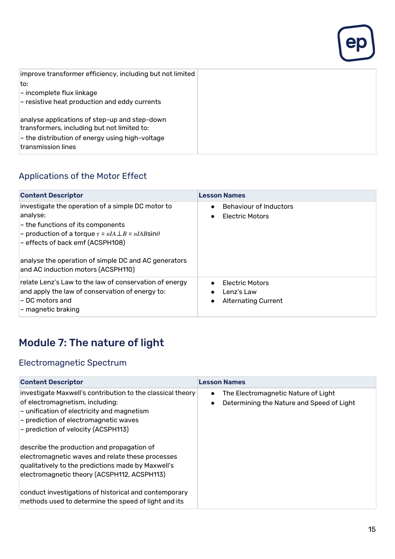| improve transformer efficiency, including but not limited |
|-----------------------------------------------------------|
| lto:                                                      |
| $\vert$ – incomplete flux linkage                         |
| - resistive heat production and eddy currents             |
|                                                           |
| analyse applications of step-up and step-down             |
| transformers, including but not limited to:               |
| $\vert$ - the distribution of energy using high-voltage   |
| transmission lines                                        |

## Applications of the Motor Effect

| <b>Content Descriptor</b>                                                                                                                                                                                                                                                                              | <b>Lesson Names</b>                                                                          |
|--------------------------------------------------------------------------------------------------------------------------------------------------------------------------------------------------------------------------------------------------------------------------------------------------------|----------------------------------------------------------------------------------------------|
| investigate the operation of a simple DC motor to<br>analyse:<br>- the functions of its components<br>- production of a torque $\tau = nIA \perp B = nIAB\sin\theta$<br>- effects of back emf (ACSPH108)<br>analyse the operation of simple DC and AC generators<br>and AC induction motors (ACSPH110) | <b>Behaviour of Inductors</b><br>$\bullet$<br>Electric Motors<br>$\bullet$                   |
| relate Lenz's Law to the law of conservation of energy<br>and apply the law of conservation of energy to:<br>– DC motors and<br>$\left\vert -\right.$ magnetic braking                                                                                                                                 | <b>Electric Motors</b><br>Lenz's Law<br>$\bullet$<br><b>Alternating Current</b><br>$\bullet$ |

## Module 7: The nature of light

#### Electromagnetic Spectrum

| <b>Content Descriptor</b>                                                                                                                                                                                                   | <b>Lesson Names</b>                                                                                        |
|-----------------------------------------------------------------------------------------------------------------------------------------------------------------------------------------------------------------------------|------------------------------------------------------------------------------------------------------------|
| investigate Maxwell's contribution to the classical theory<br>of electromagnetism, including:<br>- unification of electricity and magnetism<br>- prediction of electromagnetic waves<br>- prediction of velocity (ACSPH113) | The Electromagnetic Nature of Light<br>$\bullet$<br>Determining the Nature and Speed of Light<br>$\bullet$ |
| describe the production and propagation of<br>electromagnetic waves and relate these processes<br>qualitatively to the predictions made by Maxwell's<br>electromagnetic theory (ACSPH112, ACSPH113)                         |                                                                                                            |
| conduct investigations of historical and contemporary<br>methods used to determine the speed of light and its                                                                                                               |                                                                                                            |

 $ep$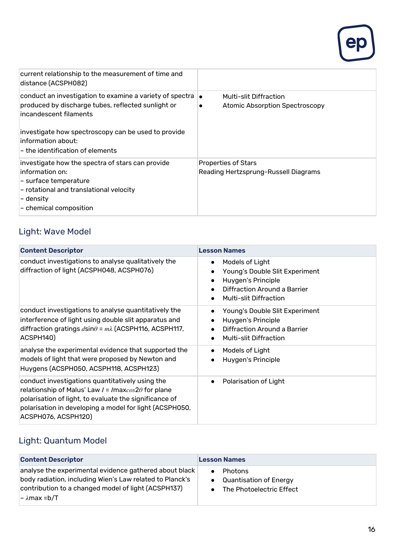

| current relationship to the measurement of time and<br>distance (ACSPH082)                                                                                                                                                                                                    |                                                                                     |
|-------------------------------------------------------------------------------------------------------------------------------------------------------------------------------------------------------------------------------------------------------------------------------|-------------------------------------------------------------------------------------|
| conduct an investigation to examine a variety of spectra $\vert_{\bullet}$<br>produced by discharge tubes, reflected sunlight or<br>incandescent filaments<br>investigate how spectroscopy can be used to provide<br>information about:<br>$-$ the identification of elements | <b>Multi-slit Diffraction</b><br><b>Atomic Absorption Spectroscopy</b><br>$\bullet$ |
| investigate how the spectra of stars can provide<br>linformation on:<br>$\left\vert -\right.$ surface temperature<br>$\mathsf{\mathsf{I}}$ - rotational and translational velocity<br>∣– density<br>$\left\vert - \right.$ chemical composition                               | <b>Properties of Stars</b><br>Reading Hertzsprung-Russell Diagrams                  |

## Light: Wave Model

| <b>Content Descriptor</b>                                                                                                                                                                                                                                    | <b>Lesson Names</b>                                                                                                                                                             |
|--------------------------------------------------------------------------------------------------------------------------------------------------------------------------------------------------------------------------------------------------------------|---------------------------------------------------------------------------------------------------------------------------------------------------------------------------------|
| conduct investigations to analyse qualitatively the<br>diffraction of light (ACSPH048, ACSPH076)                                                                                                                                                             | Models of Light<br>$\bullet$<br>Young's Double Slit Experiment<br>Huygen's Principle<br>$\bullet$<br>Diffraction Around a Barrier<br>$\bullet$<br><b>Multi-slit Diffraction</b> |
| conduct investigations to analyse quantitatively the<br>interference of light using double slit apparatus and<br>diffraction gratings $d$ sin $\theta$ = $m\lambda$ (ACSPH116, ACSPH117,<br>ACSPH140)                                                        | Young's Double Slit Experiment<br>Huygen's Principle<br>Diffraction Around a Barrier<br><b>Multi-slit Diffraction</b>                                                           |
| analyse the experimental evidence that supported the<br>models of light that were proposed by Newton and<br>Huygens (ACSPH050, ACSPH118, ACSPH123)                                                                                                           | Models of Light<br>$\bullet$<br>Huygen's Principle                                                                                                                              |
| conduct investigations quantitatively using the<br>relationship of Malus' Law $I = I$ max $cos2\theta$ for plane<br>polarisation of light, to evaluate the significance of<br>polarisation in developing a model for light (ACSPH050,<br>ACSPH076, ACSPH120) | Polarisation of Light<br>$\bullet$                                                                                                                                              |

## Light: Quantum Model

| <b>Content Descriptor</b>                                                                                                                                                                 | <b>Lesson Names</b>                                                         |
|-------------------------------------------------------------------------------------------------------------------------------------------------------------------------------------------|-----------------------------------------------------------------------------|
| analyse the experimental evidence gathered about black<br>body radiation, including Wien's Law related to Planck's<br>contribution to a changed model of light (ACSPH137)<br> – λmax =b/T | <b>Photons</b><br><b>Quantisation of Energy</b><br>The Photoelectric Effect |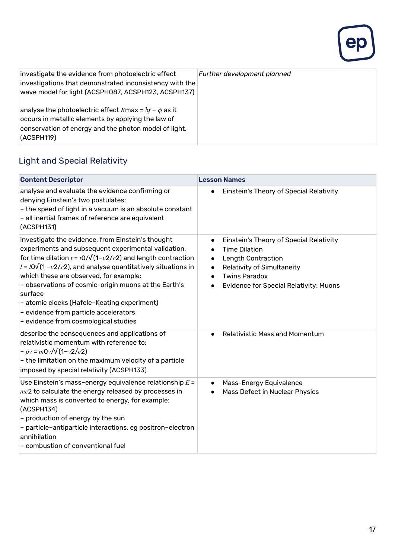

| investigate the evidence from photoelectric effect<br>investigations that demonstrated inconsistency with the<br>wave model for light (ACSPH087, ACSPH123, ACSPH137)                  | Further development planned |
|---------------------------------------------------------------------------------------------------------------------------------------------------------------------------------------|-----------------------------|
| analyse the photoelectric effect Kmax = $hf - \phi$ as it<br>occurs in metallic elements by applying the law of<br>conservation of energy and the photon model of light,<br>(CSPH119) |                             |

## Light and Special Relativity

| <b>Content Descriptor</b>                                                                                                                                                                                                                                                                                                                                                                                                                                                                              | <b>Lesson Names</b>                                                                                                                                                                                                                                    |
|--------------------------------------------------------------------------------------------------------------------------------------------------------------------------------------------------------------------------------------------------------------------------------------------------------------------------------------------------------------------------------------------------------------------------------------------------------------------------------------------------------|--------------------------------------------------------------------------------------------------------------------------------------------------------------------------------------------------------------------------------------------------------|
| analyse and evaluate the evidence confirming or<br>denying Einstein's two postulates:<br>- the speed of light in a vacuum is an absolute constant<br>- all inertial frames of reference are equivalent<br>(ACSPH131)                                                                                                                                                                                                                                                                                   | Einstein's Theory of Special Relativity<br>$\bullet$                                                                                                                                                                                                   |
| investigate the evidence, from Einstein's thought<br>experiments and subsequent experimental validation,<br>for time dilation $t = t0/\sqrt{(1-v^2/c^2)}$ and length contraction<br>$l = l0\sqrt{(1-v^2/c^2)}$ , and analyse quantitatively situations in<br>which these are observed, for example:<br>- observations of cosmic-origin muons at the Earth's<br>surface<br>- atomic clocks (Hafele-Keating experiment)<br>- evidence from particle accelerators<br>- evidence from cosmological studies | Einstein's Theory of Special Relativity<br>$\bullet$<br><b>Time Dilation</b><br>$\bullet$<br>Length Contraction<br>$\bullet$<br>Relativity of Simultaneity<br>$\bullet$<br><b>Twins Paradox</b><br>$\bullet$<br>Evidence for Special Relativity: Muons |
| describe the consequences and applications of<br>relativistic momentum with reference to:<br>$-pv = m0v/\sqrt{(1-v^2/c^2)}$<br>- the limitation on the maximum velocity of a particle<br>imposed by special relativity (ACSPH133)                                                                                                                                                                                                                                                                      | <b>Relativistic Mass and Momentum</b>                                                                                                                                                                                                                  |
| Use Einstein's mass-energy equivalence relationship $E =$<br>$mc2$ to calculate the energy released by processes in<br>which mass is converted to energy, for example:<br>(ACSPH134)<br>- production of energy by the sun<br>- particle-antiparticle interactions, eg positron-electron<br>annihilation<br>- combustion of conventional fuel                                                                                                                                                           | Mass-Energy Equivalence<br>$\bullet$<br>Mass Defect in Nuclear Physics<br>$\bullet$                                                                                                                                                                    |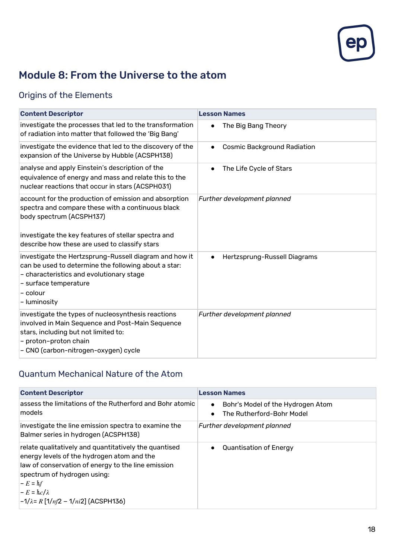

## Module 8: From the Universe to the atom

## Origins of the Elements

| <b>Content Descriptor</b>                                                                                                                                                                                                                      | <b>Lesson Names</b>                             |
|------------------------------------------------------------------------------------------------------------------------------------------------------------------------------------------------------------------------------------------------|-------------------------------------------------|
| investigate the processes that led to the transformation<br>of radiation into matter that followed the 'Big Bang'                                                                                                                              | The Big Bang Theory<br>$\bullet$                |
| investigate the evidence that led to the discovery of the<br>expansion of the Universe by Hubble (ACSPH138)                                                                                                                                    | <b>Cosmic Background Radiation</b><br>$\bullet$ |
| analyse and apply Einstein's description of the<br>equivalence of energy and mass and relate this to the<br>nuclear reactions that occur in stars (ACSPH031)                                                                                   | The Life Cycle of Stars<br>$\bullet$            |
| account for the production of emission and absorption<br>spectra and compare these with a continuous black<br>body spectrum (ACSPH137)<br>investigate the key features of stellar spectra and<br>describe how these are used to classify stars | Further development planned                     |
| investigate the Hertzsprung-Russell diagram and how it<br>can be used to determine the following about a star:<br>- characteristics and evolutionary stage<br>- surface temperature<br>$-$ colour<br>- luminosity                              | Hertzsprung-Russell Diagrams<br>$\bullet$       |
| investigate the types of nucleosynthesis reactions<br>involved in Main Sequence and Post-Main Sequence<br>stars, including but not limited to:<br>- proton-proton chain<br>- CNO (carbon-nitrogen-oxygen) cycle                                | Further development planned                     |

#### Quantum Mechanical Nature of the Atom

| <b>Content Descriptor</b>                                                                                                                                                                                                                                                                                     | <b>Lesson Names</b>                                                         |
|---------------------------------------------------------------------------------------------------------------------------------------------------------------------------------------------------------------------------------------------------------------------------------------------------------------|-----------------------------------------------------------------------------|
| lassess the limitations of the Rutherford and Bohr atomic<br>models                                                                                                                                                                                                                                           | Bohr's Model of the Hydrogen Atom<br>$\bullet$<br>The Rutherford-Bohr Model |
| investigate the line emission spectra to examine the<br>Balmer series in hydrogen (ACSPH138)                                                                                                                                                                                                                  | Further development planned                                                 |
| relate qualitatively and quantitatively the quantised<br>energy levels of the hydrogen atom and the<br>law of conservation of energy to the line emission<br>spectrum of hydrogen using:<br>$-L = hf$<br>$-L = \frac{hc}{\lambda}$<br>$\left  -1/\lambda = R \left[ 1/n/2 - 1/n/2 \right] \right]$ (ACSPH136) | <b>Quantisation of Energy</b>                                               |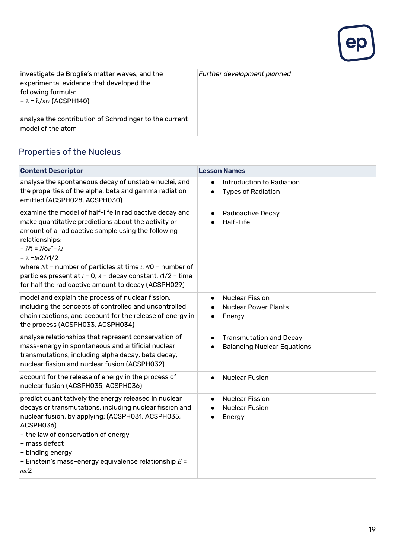

| investigate de Broglie's matter waves, and the<br>experimental evidence that developed the<br>following formula:<br>$-\lambda = \hbar/mv$ (ACSPH140) | Further development planned |
|------------------------------------------------------------------------------------------------------------------------------------------------------|-----------------------------|
| analyse the contribution of Schrödinger to the current<br>model of the atom                                                                          |                             |

#### Properties of the Nucleus

| <b>Content Descriptor</b>                                                                                                                                                                                                                                                                                                                                                                                                                              | <b>Lesson Names</b>                                                                                    |
|--------------------------------------------------------------------------------------------------------------------------------------------------------------------------------------------------------------------------------------------------------------------------------------------------------------------------------------------------------------------------------------------------------------------------------------------------------|--------------------------------------------------------------------------------------------------------|
| analyse the spontaneous decay of unstable nuclei, and<br>the properties of the alpha, beta and gamma radiation<br>emitted (ACSPH028, ACSPH030)                                                                                                                                                                                                                                                                                                         | Introduction to Radiation<br>$\bullet$<br><b>Types of Radiation</b><br>$\bullet$                       |
| examine the model of half-life in radioactive decay and<br>make quantitative predictions about the activity or<br>amount of a radioactive sample using the following<br>relationships:<br>$-Nt = Noe^{\hat{}}-\lambda t$<br>$-\lambda = ln2/t1/2$<br>where $Nt$ = number of particles at time $t$ , $N0$ = number of<br>particles present at $t = 0$ , $\lambda =$ decay constant, $t/2 =$ time<br>for half the radioactive amount to decay (ACSPH029) | <b>Radioactive Decay</b><br>$\bullet$<br>Half-Life                                                     |
| model and explain the process of nuclear fission,<br>including the concepts of controlled and uncontrolled<br>chain reactions, and account for the release of energy in<br>the process (ACSPH033, ACSPH034)                                                                                                                                                                                                                                            | <b>Nuclear Fission</b><br>$\bullet$<br><b>Nuclear Power Plants</b><br>$\bullet$<br>Energy<br>$\bullet$ |
| analyse relationships that represent conservation of<br>mass-energy in spontaneous and artificial nuclear<br>transmutations, including alpha decay, beta decay,<br>nuclear fission and nuclear fusion (ACSPH032)                                                                                                                                                                                                                                       | <b>Transmutation and Decay</b><br>$\bullet$<br><b>Balancing Nuclear Equations</b>                      |
| account for the release of energy in the process of<br>nuclear fusion (ACSPH035, ACSPH036)                                                                                                                                                                                                                                                                                                                                                             | <b>Nuclear Fusion</b><br>$\bullet$                                                                     |
| predict quantitatively the energy released in nuclear<br>decays or transmutations, including nuclear fission and<br>nuclear fusion, by applying: (ACSPH031, ACSPH035,<br>ACSPH036)<br>- the law of conservation of energy<br>- mass defect<br>- binding energy<br>- Einstein's mass-energy equivalence relationship $E =$<br>mc2                                                                                                                       | <b>Nuclear Fission</b><br>$\bullet$<br><b>Nuclear Fusion</b><br>$\bullet$<br>Energy<br>$\bullet$       |